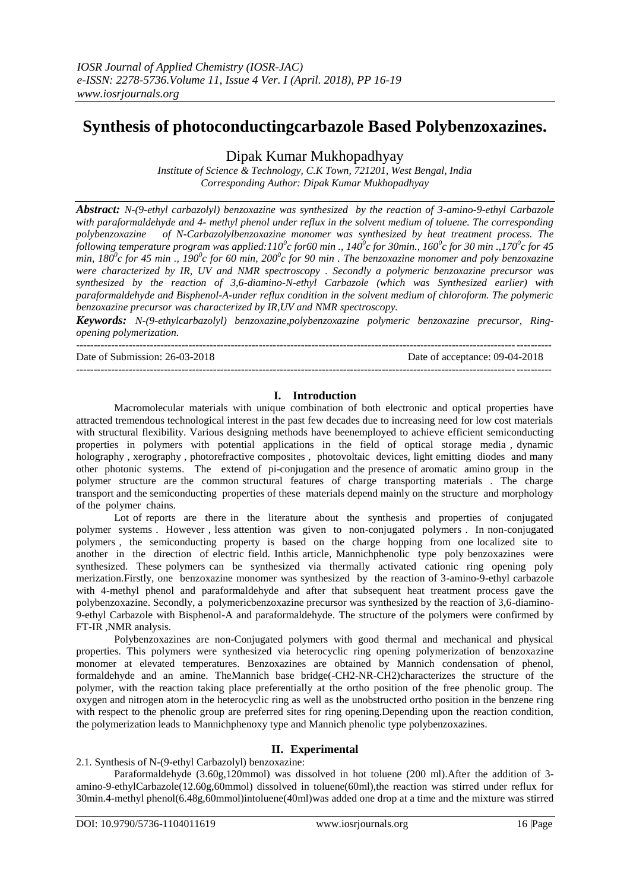# **Synthesis of photoconductingcarbazole Based Polybenzoxazines.**

Dipak Kumar Mukhopadhyay

*Institute of Science & Technology, C.K Town, 721201, West Bengal, India Corresponding Author: Dipak Kumar Mukhopadhyay*

*Abstract: N-(9-ethyl carbazolyl) benzoxazine was synthesized by the reaction of 3-amino-9-ethyl Carbazole with paraformaldehyde and 4- methyl phenol under reflux in the solvent medium of toluene. The corresponding polybenzoxazine of N-Carbazolylbenzoxazine monomer was synthesized by heat treatment process. The following temperature program was applied:110<sup>0</sup> c for60 min ., 140<sup>0</sup> c for 30min., 160<sup>0</sup> c for 30 min .,170<sup>0</sup> c for 45 min,*  $180^\circ$ c for 45 min .,  $190^\circ$ c for 60 min,  $200^\circ$ c for 90 min . The benzoxazine monomer and poly benzoxazine *were characterized by IR, UV and NMR spectroscopy . Secondly a polymeric benzoxazine precursor was synthesized by the reaction of 3,6-diamino-N-ethyl Carbazole (which was Synthesized earlier) with paraformaldehyde and Bisphenol-A-under reflux condition in the solvent medium of chloroform. The polymeric benzoxazine precursor was characterized by IR,UV and NMR spectroscopy.*

*Keywords: N-(9-ethylcarbazolyl) benzoxazine,polybenzoxazine polymeric benzoxazine precursor, Ringopening polymerization.*

---------------------------------------------------------------------------------------------------------------------------------------

Date of Submission: 26-03-2018 Date of acceptance: 09-04-2018

# **I. Introduction**

---------------------------------------------------------------------------------------------------------------------------------------

Macromolecular materials with unique combination of both electronic and optical properties have attracted tremendous technological interest in the past few decades due to increasing need for low cost materials with structural flexibility. Various designing methods have beenemployed to achieve efficient semiconducting properties in polymers with potential applications in the field of optical storage media , dynamic holography, xerography, photorefractive composites, photovoltaic devices, light emitting diodes and many other photonic systems. The extend of pi-conjugation and the presence of aromatic amino group in the polymer structure are the common structural features of charge transporting materials . The charge transport and the semiconducting properties of these materials depend mainly on the structure and morphology of the polymer chains.

Lot of reports are there in the literature about the synthesis and properties of conjugated polymer systems . However , less attention was given to non-conjugated polymers . In non-conjugated polymers , the semiconducting property is based on the charge hopping from one localized site to another in the direction of electric field. Inthis article, Mannichphenolic type poly benzoxazines were synthesized. These polymers can be synthesized via thermally activated cationic ring opening poly merization.Firstly, one benzoxazine monomer was synthesized by the reaction of 3-amino-9-ethyl carbazole with 4-methyl phenol and paraformaldehyde and after that subsequent heat treatment process gave the polybenzoxazine. Secondly, a polymericbenzoxazine precursor was synthesized by the reaction of 3,6-diamino-9-ethyl Carbazole with Bisphenol-A and paraformaldehyde. The structure of the polymers were confirmed by FT-IR ,NMR analysis.

Polybenzoxazines are non-Conjugated polymers with good thermal and mechanical and physical properties. This polymers were synthesized via heterocyclic ring opening polymerization of benzoxazine monomer at elevated temperatures. Benzoxazines are obtained by Mannich condensation of phenol, formaldehyde and an amine. TheMannich base bridge(-CH2-NR-CH2)characterizes the structure of the polymer, with the reaction taking place preferentially at the ortho position of the free phenolic group. The oxygen and nitrogen atom in the heterocyclic ring as well as the unobstructed ortho position in the benzene ring with respect to the phenolic group are preferred sites for ring opening. Depending upon the reaction condition, the polymerization leads to Mannichphenoxy type and Mannich phenolic type polybenzoxazines.

# **II. Experimental**

2.1. Synthesis of N-(9-ethyl Carbazolyl) benzoxazine:

Paraformaldehyde (3.60g,120mmol) was dissolved in hot toluene (200 ml). After the addition of 3amino-9-ethylCarbazole(12.60g,60mmol) dissolved in toluene(60ml),the reaction was stirred under reflux for 30min.4-methyl phenol(6.48g,60mmol)intoluene(40ml)was added one drop at a time and the mixture was stirred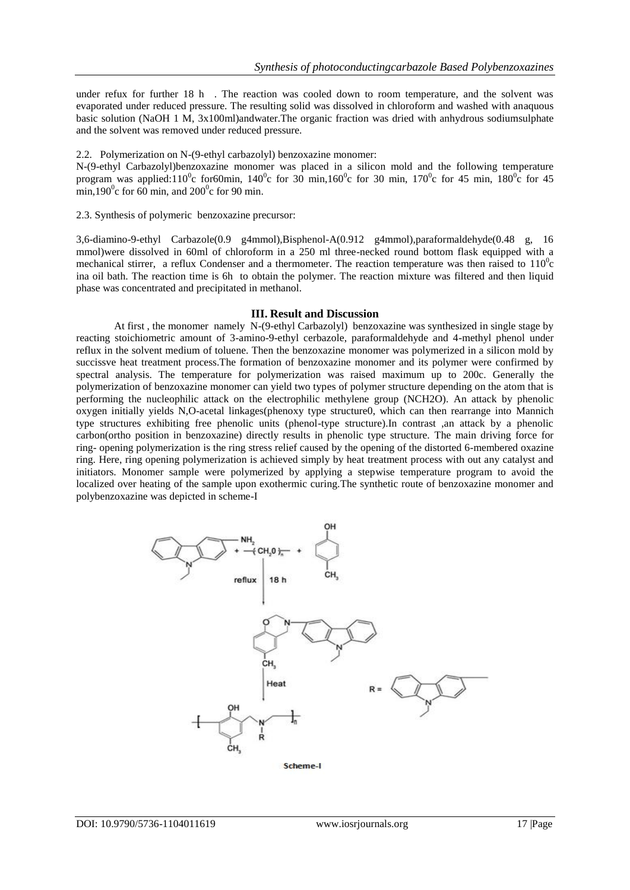under refux for further 18 h . The reaction was cooled down to room temperature, and the solvent was evaporated under reduced pressure. The resulting solid was dissolved in chloroform and washed with anaquous basic solution (NaOH 1 M, 3x100ml)andwater.The organic fraction was dried with anhydrous sodiumsulphate and the solvent was removed under reduced pressure.

2.2. Polymerization on N-(9-ethyl carbazolyl) benzoxazine monomer:

N-(9-ethyl Carbazolyl)benzoxazine monomer was placed in a silicon mold and the following temperature program was applied:110<sup>o</sup>c for60min, 140<sup>o</sup>c for 30 min,160<sup>o</sup>c for 30 min, 170<sup>o</sup>c for 45 min, 180<sup>o</sup>c for 45 min,190 $^{\circ}$ c for 60 min, and 200 $^{\circ}$ c for 90 min.

2.3. Synthesis of polymeric benzoxazine precursor:

3,6-diamino-9-ethyl Carbazole(0.9 g4mmol),Bisphenol-A(0.912 g4mmol),paraformaldehyde(0.48 g, 16 mmol)were dissolved in 60ml of chloroform in a 250 ml three-necked round bottom flask equipped with a mechanical stirrer, a reflux Condenser and a thermometer. The reaction temperature was then raised to  $110^{\circ}$ c ina oil bath. The reaction time is 6h to obtain the polymer. The reaction mixture was filtered and then liquid phase was concentrated and precipitated in methanol.

#### **III. Result and Discussion**

At first , the monomer namely N-(9-ethyl Carbazolyl) benzoxazine was synthesized in single stage by reacting stoichiometric amount of 3-amino-9-ethyl cerbazole, paraformaldehyde and 4-methyl phenol under reflux in the solvent medium of toluene. Then the benzoxazine monomer was polymerized in a silicon mold by succissve heat treatment process.The formation of benzoxazine monomer and its polymer were confirmed by spectral analysis. The temperature for polymerization was raised maximum up to 200c. Generally the polymerization of benzoxazine monomer can yield two types of polymer structure depending on the atom that is performing the nucleophilic attack on the electrophilic methylene group (NCH2O). An attack by phenolic oxygen initially yields N,O-acetal linkages(phenoxy type structure0, which can then rearrange into Mannich type structures exhibiting free phenolic units (phenol-type structure).In contrast ,an attack by a phenolic carbon(ortho position in benzoxazine) directly results in phenolic type structure. The main driving force for ring- opening polymerization is the ring stress relief caused by the opening of the distorted 6-membered oxazine ring. Here, ring opening polymerization is achieved simply by heat treatment process with out any catalyst and initiators. Monomer sample were polymerized by applying a stepwise temperature program to avoid the localized over heating of the sample upon exothermic curing.The synthetic route of benzoxazine monomer and polybenzoxazine was depicted in scheme-I

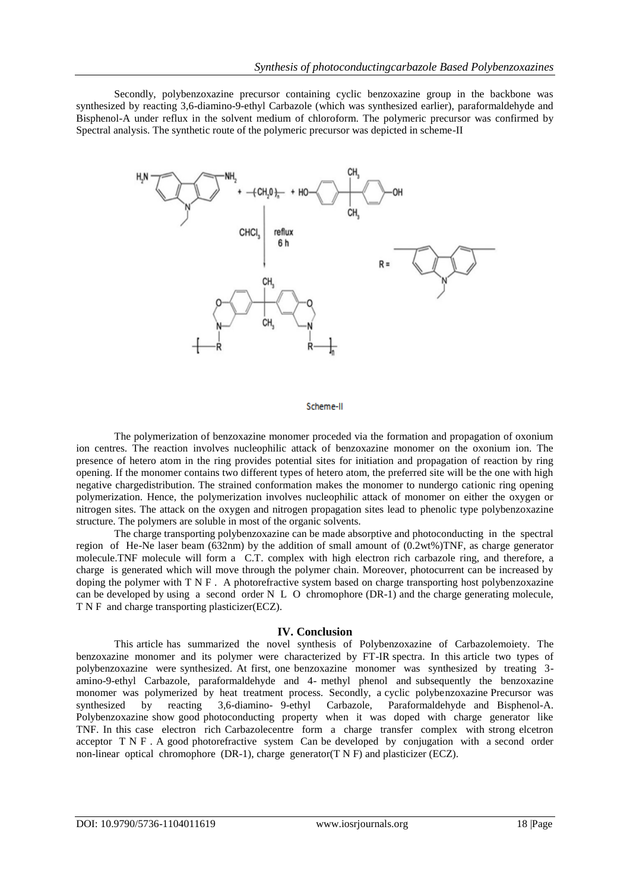Secondly, polybenzoxazine precursor containing cyclic benzoxazine group in the backbone was synthesized by reacting 3,6-diamino-9-ethyl Carbazole (which was synthesized earlier), paraformaldehyde and Bisphenol-A under reflux in the solvent medium of chloroform. The polymeric precursor was confirmed by Spectral analysis. The synthetic route of the polymeric precursor was depicted in scheme-II



## Scheme-II

The polymerization of benzoxazine monomer proceded via the formation and propagation of oxonium ion centres. The reaction involves nucleophilic attack of benzoxazine monomer on the oxonium ion. The presence of hetero atom in the ring provides potential sites for initiation and propagation of reaction by ring opening. If the monomer contains two different types of hetero atom, the preferred site will be the one with high negative chargedistribution. The strained conformation makes the monomer to nundergo cationic ring opening polymerization. Hence, the polymerization involves nucleophilic attack of monomer on either the oxygen or nitrogen sites. The attack on the oxygen and nitrogen propagation sites lead to phenolic type polybenzoxazine structure. The polymers are soluble in most of the organic solvents.

The charge transporting polybenzoxazine can be made absorptive and photoconducting in the spectral region of He-Ne laser beam (632nm) by the addition of small amount of (0.2wt%)TNF, as charge generator molecule.TNF molecule will form a C.T. complex with high electron rich carbazole ring, and therefore, a charge is generated which will move through the polymer chain. Moreover, photocurrent can be increased by doping the polymer with T N F . A photorefractive system based on charge transporting host polybenzoxazine can be developed by using a second order N L O chromophore (DR-1) and the charge generating molecule, T N F and charge transporting plasticizer(ECZ).

## **IV. Conclusion**

This article has summarized the novel synthesis of Polybenzoxazine of Carbazolemoiety. The benzoxazine monomer and its polymer were characterized by FT-IR spectra. In this article two types of polybenzoxazine were synthesized. At first, one benzoxazine monomer was synthesized by treating 3 amino-9-ethyl Carbazole, paraformaldehyde and 4- methyl phenol and subsequently the benzoxazine monomer was polymerized by heat treatment process. Secondly, a cyclic polybenzoxazine Precursor was synthesized by reacting 3,6-diamino- 9-ethyl Carbazole, Paraformaldehyde and Bisphenol-A. Polybenzoxazine show good photoconducting property when it was doped with charge generator like TNF. In this case electron rich Carbazolecentre form a charge transfer complex with strong elcetron acceptor T N F . A good photorefractive system Can be developed by conjugation with a second order non-linear optical chromophore (DR-1), charge generator( $T \nvert N$  F) and plasticizer (ECZ).